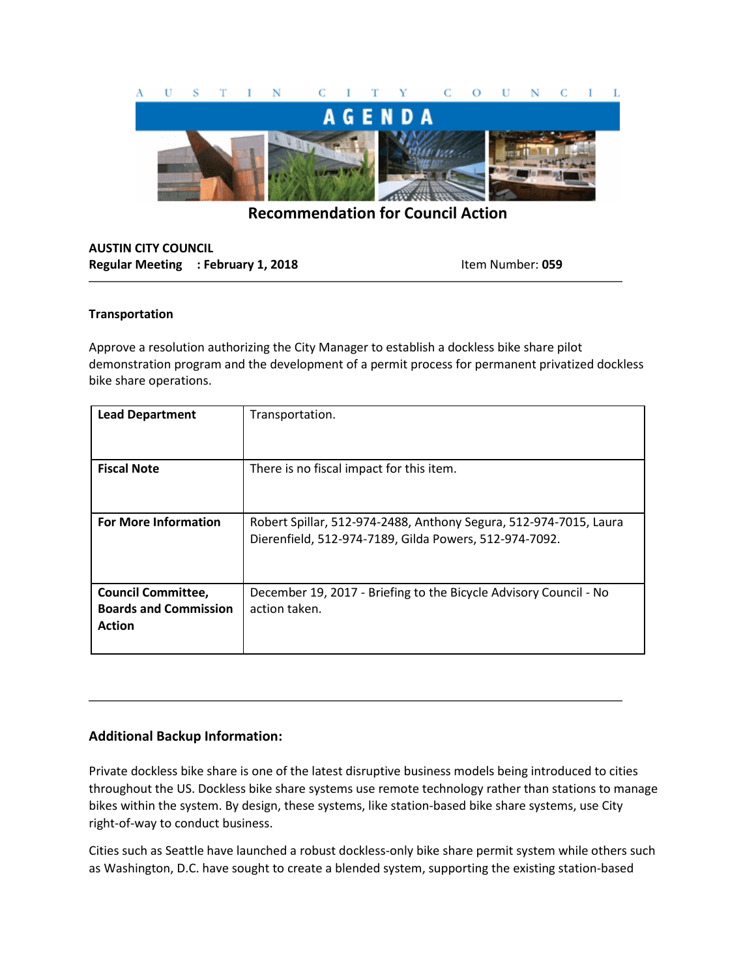

**Recommendation for Council Action**

## **AUSTIN CITY COUNCIL Regular Meeting : February 1, 2018** Item Number: 059

## **Transportation**

Approve a resolution authorizing the City Manager to establish a dockless bike share pilot demonstration program and the development of a permit process for permanent privatized dockless bike share operations.

| <b>Lead Department</b>                                                     | Transportation.                                                                                                             |
|----------------------------------------------------------------------------|-----------------------------------------------------------------------------------------------------------------------------|
| <b>Fiscal Note</b>                                                         | There is no fiscal impact for this item.                                                                                    |
| <b>For More Information</b>                                                | Robert Spillar, 512-974-2488, Anthony Segura, 512-974-7015, Laura<br>Dierenfield, 512-974-7189, Gilda Powers, 512-974-7092. |
| <b>Council Committee,</b><br><b>Boards and Commission</b><br><b>Action</b> | December 19, 2017 - Briefing to the Bicycle Advisory Council - No<br>action taken.                                          |

## **Additional Backup Information:**

Private dockless bike share is one of the latest disruptive business models being introduced to cities throughout the US. Dockless bike share systems use remote technology rather than stations to manage bikes within the system. By design, these systems, like station-based bike share systems, use City right-of-way to conduct business.

Cities such as Seattle have launched a robust dockless-only bike share permit system while others such as Washington, D.C. have sought to create a blended system, supporting the existing station-based